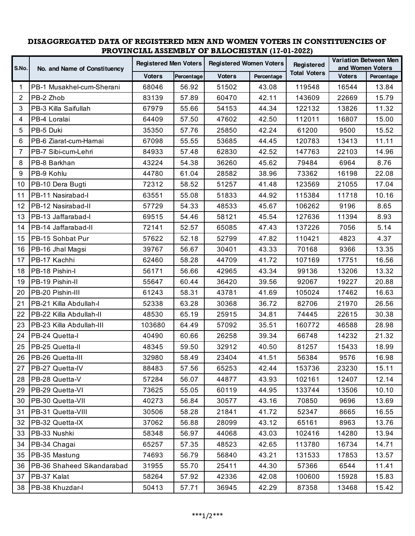## **DISAGGREGATED DATA OF REGISTERED MEN AND WOMEN VOTERS IN CONSTITUENCIES OF PROVINCIAL ASSEMBLY OF BALOCHISTAN (17-01-2022)**

| S.No.           | No. and Name of Constituency | <b>Registered Men Voters</b> |            | <b>Registered Women Voters</b> |            | Registered          | <b>Variation Between Men</b><br>and Women Voters |            |
|-----------------|------------------------------|------------------------------|------------|--------------------------------|------------|---------------------|--------------------------------------------------|------------|
|                 |                              | <b>Voters</b>                | Percentage | <b>Voters</b>                  | Percentage | <b>Total Voters</b> | <b>Voters</b>                                    | Percentage |
| 1               | PB-1 Musakhel-cum-Sherani    | 68046                        | 56.92      | 51502                          | 43.08      | 119548              | 16544                                            | 13.84      |
| 2               | PB-2 Zhob                    | 83139                        | 57.89      | 60470                          | 42.11      | 143609              | 22669                                            | 15.79      |
| 3               | PB-3 Killa Saifullah         | 67979                        | 55.66      | 54153                          | 44.34      | 122132              | 13826                                            | 11.32      |
| 4               | PB-4 Loralai                 | 64409                        | 57.50      | 47602                          | 42.50      | 112011              | 16807                                            | 15.00      |
| 5               | PB-5 Duki                    | 35350                        | 57.76      | 25850                          | 42.24      | 61200               | 9500                                             | 15.52      |
| 6               | PB-6 Ziarat-cum-Harnai       | 67098                        | 55.55      | 53685                          | 44.45      | 120783              | 13413                                            | 11.11      |
| $\overline{7}$  | PB-7 Sibi-cum-Lehri          | 84933                        | 57.48      | 62830                          | 42.52      | 147763              | 22103                                            | 14.96      |
| 8               | PB-8 Barkhan                 | 43224                        | 54.38      | 36260                          | 45.62      | 79484               | 6964                                             | 8.76       |
| 9               | PB-9 Kohlu                   | 44780                        | 61.04      | 28582                          | 38.96      | 73362               | 16198                                            | 22.08      |
| 10              | PB-10 Dera Bugti             | 72312                        | 58.52      | 51257                          | 41.48      | 123569              | 21055                                            | 17.04      |
| 11              | PB-11 Nasirabad-I            | 63551                        | 55.08      | 51833                          | 44.92      | 115384              | 11718                                            | 10.16      |
| 12              | PB-12 Nasirabad-II           | 57729                        | 54.33      | 48533                          | 45.67      | 106262              | 9196                                             | 8.65       |
| 13              | PB-13 Jaffarabad-I           | 69515                        | 54.46      | 58121                          | 45.54      | 127636              | 11394                                            | 8.93       |
| 14              | PB-14 Jaffarabad-II          | 72141                        | 52.57      | 65085                          | 47.43      | 137226              | 7056                                             | 5.14       |
| 15              | PB-15 Sohbat Pur             | 57622                        | 52.18      | 52799                          | 47.82      | 110421              | 4823                                             | 4.37       |
| 16              | PB-16 Jhal Magsi             | 39767                        | 56.67      | 30401                          | 43.33      | 70168               | 9366                                             | 13.35      |
| 17              | PB-17 Kachhi                 | 62460                        | 58.28      | 44709                          | 41.72      | 107169              | 17751                                            | 16.56      |
| 18              | PB-18 Pishin-I               | 56171                        | 56.66      | 42965                          | 43.34      | 99136               | 13206                                            | 13.32      |
| 19              | PB-19 Pishin-II              | 55647                        | 60.44      | 36420                          | 39.56      | 92067               | 19227                                            | 20.88      |
| 20              | PB-20 Pishin-III             | 61243                        | 58.31      | 43781                          | 41.69      | 105024              | 17462                                            | 16.63      |
| 21              | PB-21 Killa Abdullah-I       | 52338                        | 63.28      | 30368                          | 36.72      | 82706               | 21970                                            | 26.56      |
| 22              | PB-22 Killa Abdullah-II      | 48530                        | 65.19      | 25915                          | 34.81      | 74445               | 22615                                            | 30.38      |
| 23              | PB-23 Killa Abdullah-III     | 103680                       | 64.49      | 57092                          | 35.51      | 160772              | 46588                                            | 28.98      |
| 24              | PB-24 Quetta-I               | 40490                        | 60.66      | 26258                          | 39.34      | 66748               | 14232                                            | 21.32      |
| 25              | PB-25 Quetta-II              | 48345                        | 59.50      | 32912                          | 40.50      | 81257               | 15433                                            | 18.99      |
| 26              | PB-26 Quetta-III             | 32980                        | 58.49      | 23404                          | 41.51      | 56384               | 9576                                             | 16.98      |
| 27              | PB-27 Quetta-IV              | 88483                        | 57.56      | 65253                          | 42.44      | 153736              | 23230                                            | 15.11      |
| 28              | PB-28 Quetta-V               | 57284                        | 56.07      | 44877                          | 43.93      | 102161              | 12407                                            | 12.14      |
| 29              | PB-29 Quetta-VI              | 73625                        | 55.05      | 60119                          | 44.95      | 133744              | 13506                                            | 10.10      |
| 30              | PB-30 Quetta-VII             | 40273                        | 56.84      | 30577                          | 43.16      | 70850               | 9696                                             | 13.69      |
| 31              | PB-31 Quetta-VIII            | 30506                        | 58.28      | 21841                          | 41.72      | 52347               | 8665                                             | 16.55      |
| 32 <sup>2</sup> | PB-32 Quetta-IX              | 37062                        | 56.88      | 28099                          | 43.12      | 65161               | 8963                                             | 13.76      |
| 33              | PB-33 Nushki                 | 58348                        | 56.97      | 44068                          | 43.03      | 102416              | 14280                                            | 13.94      |
| 34              | PB-34 Chagai                 | 65257                        | 57.35      | 48523                          | 42.65      | 113780              | 16734                                            | 14.71      |
| 35              | PB-35 Mastung                | 74693                        | 56.79      | 56840                          | 43.21      | 131533              | 17853                                            | 13.57      |
| 36              | PB-36 Shaheed Sikandarabad   | 31955                        | 55.70      | 25411                          | 44.30      | 57366               | 6544                                             | 11.41      |
| 37              | PB-37 Kalat                  | 58264                        | 57.92      | 42336                          | 42.08      | 100600              | 15928                                            | 15.83      |
|                 | 38   PB-38 Khuzdar-I         | 50413                        | 57.71      | 36945                          | 42.29      | 87358               | 13468                                            | 15.42      |